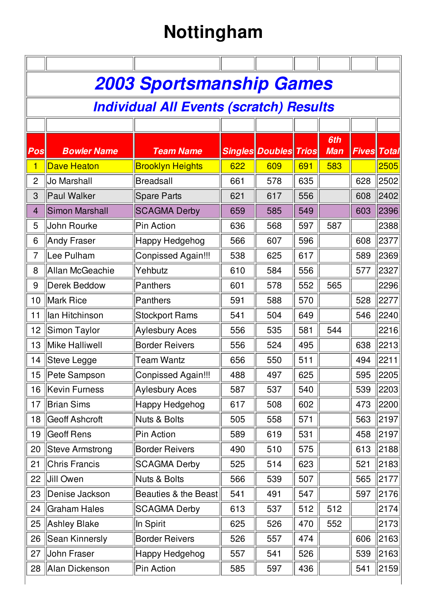## **Nottingham**

| $\boldsymbol{Pos}$ | <b>Bowler Name</b>     | <b>2003 Sportsmanship Games</b><br><b>Individual All Events (scratch) Results</b> |     |                              |     |            |     |                    |
|--------------------|------------------------|-----------------------------------------------------------------------------------|-----|------------------------------|-----|------------|-----|--------------------|
|                    |                        |                                                                                   |     |                              |     |            |     |                    |
|                    |                        |                                                                                   |     |                              |     |            |     |                    |
|                    |                        |                                                                                   |     |                              |     |            |     |                    |
|                    |                        |                                                                                   |     |                              |     | 6th        |     |                    |
|                    |                        | <b>Team Name</b>                                                                  |     | <b>Singles Doubles Trios</b> |     | <b>Man</b> |     | <b>Fives Total</b> |
| 1                  | <b>Dave Heaton</b>     | <b>Brooklyn Heights</b>                                                           | 622 | 609                          | 691 | 583        |     | 2505               |
| $\mathbf{2}$       | Jo Marshall            | <b>Breadsall</b>                                                                  | 661 | 578                          | 635 |            | 628 | 2502               |
| 3                  | Paul Walker            | Spare Parts                                                                       | 621 | 617                          | 556 |            | 608 | 2402               |
| 4                  | <b>Simon Marshall</b>  | <b>SCAGMA Derby</b>                                                               | 659 | 585                          | 549 |            | 603 | 2396               |
| 5                  | John Rourke            | <b>Pin Action</b>                                                                 | 636 | 568                          | 597 | 587        |     | 2388               |
| 6                  | <b>Andy Fraser</b>     | <b>Happy Hedgehog</b>                                                             | 566 | 607                          | 596 |            | 608 | 2377               |
| 7                  | Lee Pulham             | <b>Conpissed Again!!!</b>                                                         | 538 | 625                          | 617 |            | 589 | 2369               |
| 8                  | <b>Allan McGeachie</b> | Yehbutz                                                                           | 610 | 584                          | 556 |            | 577 | 2327               |
| 9                  | <b>Derek Beddow</b>    | Panthers                                                                          | 601 | 578                          | 552 | 565        |     | 2296               |
| 10                 | Mark Rice              | Panthers                                                                          | 591 | 588                          | 570 |            | 528 | 2277               |
| 11                 | lan Hitchinson         | <b>Stockport Rams</b>                                                             | 541 | 504                          | 649 |            | 546 | 2240               |
| 12                 | Simon Taylor           | <b>Aylesbury Aces</b>                                                             | 556 | 535                          | 581 | 544        |     | 2216               |
| 13                 | Mike Halliwell         | <b>Border Reivers</b>                                                             | 556 | 524                          | 495 |            | 638 | 2213               |
| 14                 | Steve Legge            | <b>Team Wantz</b>                                                                 | 656 | 550                          | 511 |            | 494 | 2211               |
|                    | 15   Pete Sampson      | Conpissed Again!!!                                                                | 488 | 497                          | 625 |            | 595 | $\ 2205\ $         |
| 16                 | Kevin Furness          | <b>Aylesbury Aces</b>                                                             | 587 | 537                          | 540 |            | 539 | 2203               |
| 17                 | Brian Sims             | Happy Hedgehog                                                                    | 617 | 508                          | 602 |            | 473 | 2200               |
| 18                 | Geoff Ashcroft         | Nuts & Bolts                                                                      | 505 | 558                          | 571 |            | 563 | 2197               |
| 19                 | <b>Geoff Rens</b>      | Pin Action                                                                        | 589 | 619                          | 531 |            | 458 | 2197               |
| 20                 | Steve Armstrong        | <b>Border Reivers</b>                                                             | 490 | 510                          | 575 |            | 613 | 2188               |
| 21                 | <b>Chris Francis</b>   | <b>SCAGMA Derby</b>                                                               | 525 | 514                          | 623 |            | 521 | 2183               |
| 22                 | Jill Owen              | Nuts & Bolts                                                                      | 566 | 539                          | 507 |            | 565 | 2177               |
| 23                 | Denise Jackson         | Beauties & the Beast                                                              | 541 | 491                          | 547 |            | 597 | 2176               |
| 24                 | <b>Graham Hales</b>    | <b>SCAGMA Derby</b>                                                               | 613 | 537                          | 512 | 512        |     | 2174               |
| 25                 | <b>Ashley Blake</b>    | In Spirit                                                                         | 625 | 526                          | 470 | 552        |     | 2173               |
| 26                 | Sean Kinnersly         | <b>Border Reivers</b>                                                             | 526 | 557                          | 474 |            | 606 | 2163               |
| 27                 | John Fraser            | <b>Happy Hedgehog</b>                                                             | 557 | 541                          | 526 |            | 539 | 2163               |
| 28                 | Alan Dickenson         | Pin Action                                                                        | 585 | 597                          | 436 |            | 541 | 2159               |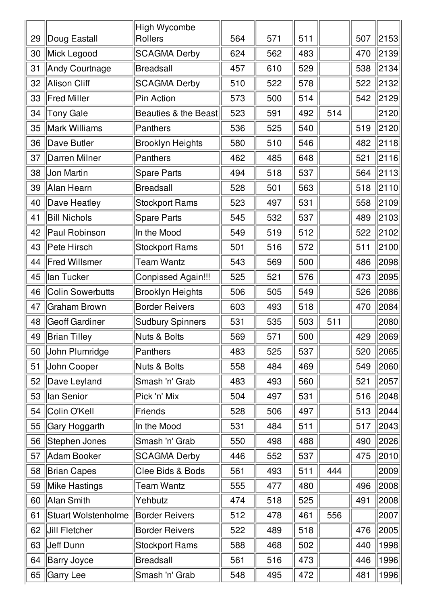| 29 | Doug Eastall               | <b>High Wycombe</b><br>Rollers  | 564 | 571 | 511 |     | 507 | 2153                 |
|----|----------------------------|---------------------------------|-----|-----|-----|-----|-----|----------------------|
| 30 | Mick Legood                | <b>SCAGMA Derby</b>             | 624 | 562 | 483 |     | 470 | 2139                 |
| 31 | Andy Courtnage             | <b>Breadsall</b>                | 457 | 610 | 529 |     | 538 | 2134                 |
| 32 | Alison Cliff               | <b>SCAGMA Derby</b>             | 510 | 522 | 578 |     | 522 | 2132                 |
| 33 | <b>Fred Miller</b>         | Pin Action                      | 573 | 500 | 514 |     | 542 | 2129                 |
| 34 | <b>Tony Gale</b>           | <b>Beauties &amp; the Beast</b> | 523 | 591 | 492 | 514 |     | 2120                 |
| 35 | Mark Williams              | Panthers                        | 536 | 525 | 540 |     | 519 | 2120                 |
| 36 | Dave Butler                | <b>Brooklyn Heights</b>         | 580 | 510 | 546 |     | 482 | $\vert$ 2118 $\vert$ |
| 37 | Darren Milner              | Panthers                        | 462 | 485 | 648 |     | 521 | 2116                 |
| 38 | Jon Martin                 | <b>Spare Parts</b>              | 494 | 518 | 537 |     | 564 | 2113                 |
| 39 | Alan Hearn                 | <b>Breadsall</b>                | 528 | 501 | 563 |     | 518 | 2110                 |
| 40 | Dave Heatley               | <b>Stockport Rams</b>           | 523 | 497 | 531 |     | 558 | 2109                 |
| 41 | <b>Bill Nichols</b>        | <b>Spare Parts</b>              | 545 | 532 | 537 |     | 489 | 2103                 |
| 42 | Paul Robinson              | In the Mood                     | 549 | 519 | 512 |     | 522 | 2102                 |
| 43 | Pete Hirsch                | <b>Stockport Rams</b>           | 501 | 516 | 572 |     | 511 | 2100                 |
| 44 | <b>Fred Willsmer</b>       | Team Wantz                      | 543 | 569 | 500 |     | 486 | 2098                 |
| 45 | lan Tucker                 | <b>Conpissed Again!!!</b>       | 525 | 521 | 576 |     | 473 | 2095                 |
| 46 | <b>Colin Sowerbutts</b>    | <b>Brooklyn Heights</b>         | 506 | 505 | 549 |     | 526 | 2086                 |
| 47 | <b>Graham Brown</b>        | <b>Border Reivers</b>           | 603 | 493 | 518 |     | 470 | 2084                 |
| 48 | <b>Geoff Gardiner</b>      | <b>Sudbury Spinners</b>         | 531 | 535 | 503 | 511 |     | 2080                 |
| 49 | Brian Tilley               | Nuts & Bolts                    | 569 | 571 | 500 |     | 429 | 2069                 |
| 50 | John Plumridge             | Panthers                        | 483 | 525 | 537 |     | 520 | 2065                 |
| 51 | John Cooper                | Nuts & Bolts                    | 558 | 484 | 469 |     | 549 | 2060                 |
| 52 | Dave Leyland               | Smash 'n' Grab                  | 483 | 493 | 560 |     | 521 | 2057                 |
| 53 | lan Senior                 | Pick 'n' Mix                    | 504 | 497 | 531 |     | 516 | 2048                 |
| 54 | Colin O'Kell               | Friends                         | 528 | 506 | 497 |     | 513 | 2044                 |
| 55 | Gary Hoggarth              | In the Mood                     | 531 | 484 | 511 |     | 517 | 2043                 |
| 56 | Stephen Jones              | Smash 'n' Grab                  | 550 | 498 | 488 |     | 490 | 2026                 |
| 57 | Adam Booker                | <b>SCAGMA Derby</b>             | 446 | 552 | 537 |     | 475 | 2010                 |
| 58 | <b>Brian Capes</b>         | Clee Bids & Bods                | 561 | 493 | 511 | 444 |     | 2009                 |
| 59 | Mike Hastings              | <b>Team Wantz</b>               | 555 | 477 | 480 |     | 496 | 2008                 |
| 60 | Alan Smith                 | Yehbutz                         | 474 | 518 | 525 |     | 491 | 2008                 |
| 61 | <b>Stuart Wolstenholme</b> | <b>Border Reivers</b>           | 512 | 478 | 461 | 556 |     | 2007                 |
| 62 | Jill Fletcher              | <b>Border Reivers</b>           | 522 | 489 | 518 |     | 476 | 2005                 |
| 63 | Jeff Dunn                  | <b>Stockport Rams</b>           | 588 | 468 | 502 |     | 440 | 1998                 |
| 64 | <b>Barry Joyce</b>         | <b>Breadsall</b>                | 561 | 516 | 473 |     | 446 | 1996                 |
| 65 | <b>Garry Lee</b>           | Smash 'n' Grab                  | 548 | 495 | 472 |     | 481 | 1996                 |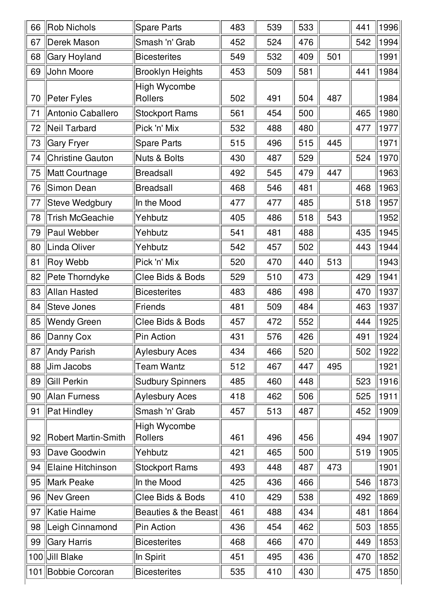| 66 | Rob Nichols         | <b>Spare Parts</b>                    | 483 | 539 | 533 |     | 441 | 1996 |
|----|---------------------|---------------------------------------|-----|-----|-----|-----|-----|------|
| 67 | Derek Mason         | Smash 'n' Grab                        | 452 | 524 | 476 |     | 542 | 1994 |
| 68 | Gary Hoyland        | <b>Bicesterites</b>                   | 549 | 532 | 409 | 501 |     | 1991 |
| 69 | John Moore          | <b>Brooklyn Heights</b>               | 453 | 509 | 581 |     | 441 | 1984 |
| 70 | Peter Fyles         | <b>High Wycombe</b><br><b>Rollers</b> | 502 | 491 | 504 | 487 |     | 1984 |
| 71 | Antonio Caballero   | <b>Stockport Rams</b>                 | 561 | 454 | 500 |     | 465 | 1980 |
| 72 | Neil Tarbard        | Pick 'n' Mix                          | 532 | 488 | 480 |     | 477 | 1977 |
| 73 | Gary Fryer          | Spare Parts                           | 515 | 496 | 515 | 445 |     | 1971 |
| 74 | Christine Gauton    | Nuts & Bolts                          | 430 | 487 | 529 |     | 524 | 1970 |
| 75 | Matt Courtnage      | Breadsall                             | 492 | 545 | 479 | 447 |     | 1963 |
| 76 | Simon Dean          | <b>Breadsall</b>                      | 468 | 546 | 481 |     | 468 | 1963 |
| 77 | Steve Wedgbury      | In the Mood                           | 477 | 477 | 485 |     | 518 | 1957 |
| 78 | Trish McGeachie     | Yehbutz                               | 405 | 486 | 518 | 543 |     | 1952 |
| 79 | Paul Webber         | Yehbutz                               | 541 | 481 | 488 |     | 435 | 1945 |
| 80 | Linda Oliver        | Yehbutz                               | 542 | 457 | 502 |     | 443 | 1944 |
| 81 | Roy Webb            | Pick 'n' Mix                          | 520 | 470 | 440 | 513 |     | 1943 |
| 82 | Pete Thorndyke      | Clee Bids & Bods                      | 529 | 510 | 473 |     | 429 | 1941 |
| 83 | Allan Hasted        | <b>Bicesterites</b>                   | 483 | 486 | 498 |     | 470 | 1937 |
| 84 | Steve Jones         | Friends                               | 481 | 509 | 484 |     | 463 | 1937 |
| 85 | <b>Wendy Green</b>  | Clee Bids & Bods                      | 457 | 472 | 552 |     | 444 | 1925 |
| 86 | Danny Cox           | Pin Action                            | 431 | 576 | 426 |     | 491 | 1924 |
| 87 | Andy Parish         | Aylesbury Aces                        | 434 | 466 | 520 |     | 502 | 1922 |
| 88 | Jim Jacobs          | Team Wantz                            | 512 | 467 | 447 | 495 |     | 1921 |
| 89 | Gill Perkin         | <b>Sudbury Spinners</b>               | 485 | 460 | 448 |     | 523 | 1916 |
| 90 | Alan Furness        | <b>Aylesbury Aces</b>                 | 418 | 462 | 506 |     | 525 | 1911 |
| 91 | Pat Hindley         | Smash 'n' Grab                        | 457 | 513 | 487 |     | 452 | 1909 |
| 92 | Robert Martin-Smith | <b>High Wycombe</b><br>Rollers        | 461 | 496 | 456 |     | 494 | 1907 |
| 93 | Dave Goodwin        | Yehbutz                               | 421 | 465 | 500 |     | 519 | 1905 |
| 94 | Elaine Hitchinson   | <b>Stockport Rams</b>                 | 493 | 448 | 487 | 473 |     | 1901 |
| 95 | Mark Peake          | In the Mood                           | 425 | 436 | 466 |     | 546 | 1873 |
| 96 | Nev Green           | Clee Bids & Bods                      | 410 | 429 | 538 |     | 492 | 1869 |
| 97 | Katie Haime         | Beauties & the Beast                  | 461 | 488 | 434 |     | 481 | 1864 |
| 98 | Leigh Cinnamond     | Pin Action                            | 436 | 454 | 462 |     | 503 | 1855 |
| 99 | Gary Harris         | <b>Bicesterites</b>                   | 468 | 466 | 470 |     | 449 | 1853 |
|    | 100 Jill Blake      | In Spirit                             | 451 | 495 | 436 |     | 470 | 1852 |
|    | 101 Bobbie Corcoran | <b>Bicesterites</b>                   | 535 | 410 | 430 |     | 475 | 1850 |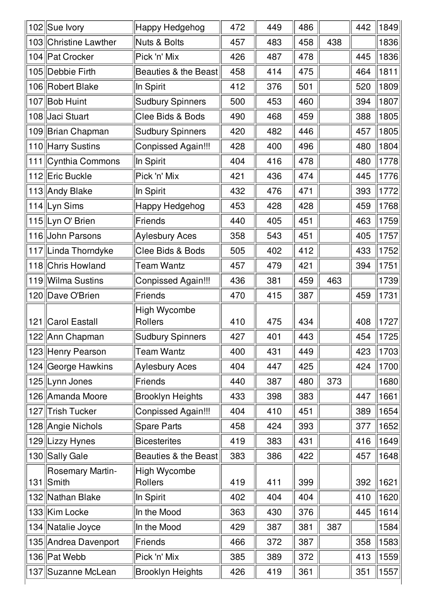| 102 Sue Ivory                        | Happy Hedgehog                 | 472 | 449 | 486 |     | 442 | 1849                         |
|--------------------------------------|--------------------------------|-----|-----|-----|-----|-----|------------------------------|
| 103 Christine Lawther                | Nuts & Bolts                   | 457 | 483 | 458 | 438 |     | 1836                         |
| 104 Pat Crocker                      | Pick 'n' Mix                   | 426 | 487 | 478 |     | 445 | 1836                         |
| 105 Debbie Firth                     | Beauties & the Beast           | 458 | 414 | 475 |     | 464 | 1811                         |
| 106 Robert Blake                     | In Spirit                      | 412 | 376 | 501 |     | 520 | 1809                         |
| 107 Bob Huint                        | <b>Sudbury Spinners</b>        | 500 | 453 | 460 |     | 394 | 1807                         |
| 108 Jaci Stuart                      | Clee Bids & Bods               | 490 | 468 | 459 |     | 388 | 1805                         |
| 109 Brian Chapman                    | <b>Sudbury Spinners</b>        | 420 | 482 | 446 |     | 457 | 1805                         |
| 110 Harry Sustins                    | Conpissed Again!!!             | 428 | 400 | 496 |     | 480 | 1804                         |
| 111   Cynthia Commons                | In Spirit                      | 404 | 416 | 478 |     | 480 | 1778                         |
| 112 Eric Buckle                      | Pick 'n' Mix                   | 421 | 436 | 474 |     | 445 | 1776                         |
| 113 Andy Blake                       | In Spirit                      | 432 | 476 | 471 |     | 393 | 1772                         |
| 114 Lyn Sims                         | Happy Hedgehog                 | 453 | 428 | 428 |     | 459 | 1768                         |
| 115 Lyn O' Brien                     | Friends                        | 440 | 405 | 451 |     | 463 | 1759                         |
| 116 John Parsons                     | Aylesbury Aces                 | 358 | 543 | 451 |     | 405 | 1757                         |
| 117 Linda Thorndyke                  | Clee Bids & Bods               | 505 | 402 | 412 |     | 433 | 1752                         |
| 118 Chris Howland                    | <b>Team Wantz</b>              | 457 | 479 | 421 |     | 394 | 1751                         |
| 119 Wilma Sustins                    | Conpissed Again!!!             | 436 | 381 | 459 | 463 |     | 1739                         |
| 120 Dave O'Brien                     | Friends                        | 470 | 415 | 387 |     | 459 | 1731                         |
| 121   Carol Eastall                  | <b>High Wycombe</b><br>Rollers | 410 | 475 | 434 |     | 408 | 1727                         |
| 122 Ann Chapman                      | <b>Sudbury Spinners</b>        | 427 | 401 | 443 |     | 454 | $\parallel$ 1725 $\parallel$ |
| 123 Henry Pearson                    | Team Wantz                     | 400 | 431 | 449 |     | 423 | 1703                         |
| 124 George Hawkins                   | Aylesbury Aces                 | 404 | 447 | 425 |     | 424 | 1700                         |
| 125 Lynn Jones                       | Friends                        | 440 | 387 | 480 | 373 |     | 1680                         |
| 126 Amanda Moore                     | <b>Brooklyn Heights</b>        | 433 | 398 | 383 |     | 447 | 1661                         |
| 127 Trish Tucker                     | Conpissed Again!!!             | 404 | 410 | 451 |     | 389 | 1654                         |
| 128 Angie Nichols                    | <b>Spare Parts</b>             | 458 | 424 | 393 |     | 377 | 1652                         |
| 129 Lizzy Hynes                      | <b>Bicesterites</b>            | 419 | 383 | 431 |     | 416 | 1649                         |
| 130 Sally Gale                       | Beauties & the Beast           | 383 | 386 | 422 |     | 457 | 1648                         |
| <b>Rosemary Martin-</b><br>131 Smith | High Wycombe<br>Rollers        | 419 | 411 | 399 |     | 392 | 1621                         |
| 132 Nathan Blake                     | In Spirit                      | 402 | 404 | 404 |     | 410 | 1620                         |
| 133 Kim Locke                        | In the Mood                    | 363 | 430 | 376 |     | 445 | 1614                         |
| 134 Natalie Joyce                    | In the Mood                    | 429 | 387 | 381 | 387 |     | 1584                         |
| 135 Andrea Davenport                 | Friends                        | 466 | 372 | 387 |     | 358 | 1583                         |
| 136 Pat Webb                         | Pick 'n' Mix                   | 385 | 389 | 372 |     | 413 | 1559                         |
| 137 Suzanne McLean                   | <b>Brooklyn Heights</b>        | 426 | 419 | 361 |     | 351 | 1557                         |